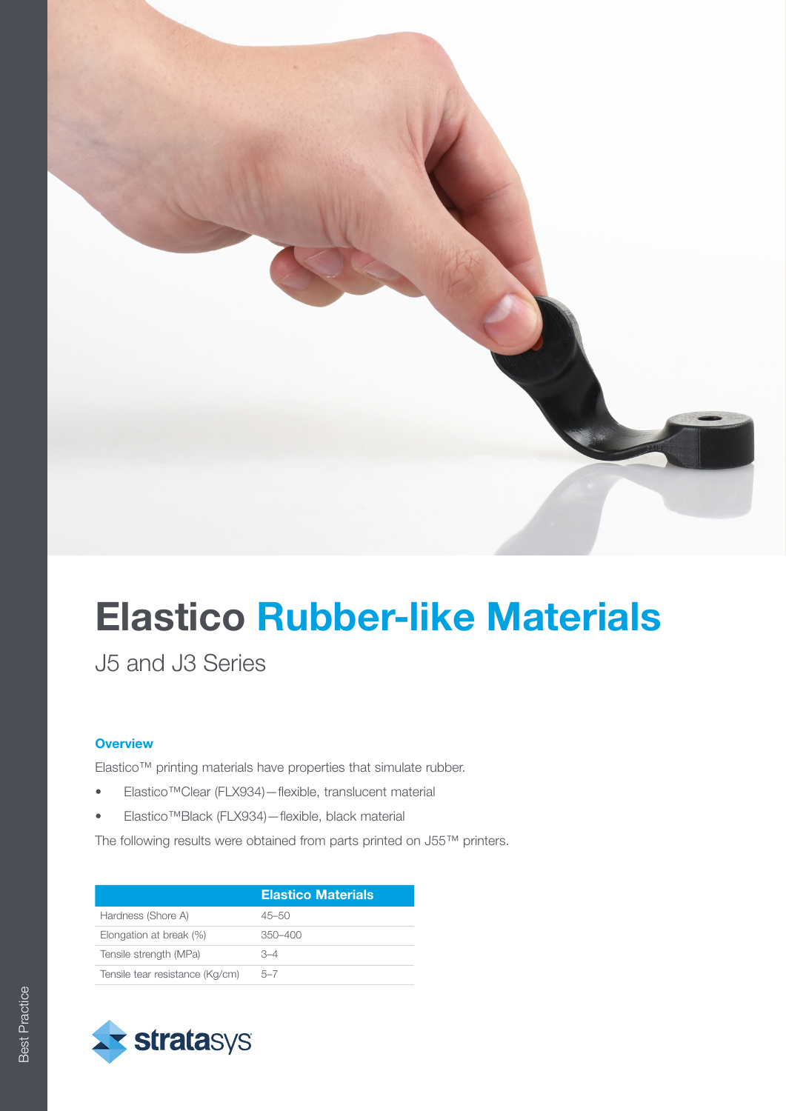

# Elastico Rubber-like Materials

J5 and J3 Series

### **Overview**

Elastico™ printing materials have properties that simulate rubber.

- Elastico™Clear (FLX934)—flexible, translucent material
- Elastico™Black (FLX934)—flexible, black material

The following results were obtained from parts printed on J55™ printers.

|                                 | <b>Elastico Materials</b> |
|---------------------------------|---------------------------|
| Hardness (Shore A)              | $45 - 50$                 |
| Elongation at break (%)         | $350 - 400$               |
| Tensile strength (MPa)          | $-4$                      |
| Tensile tear resistance (Kg/cm) | $5 - 7$                   |

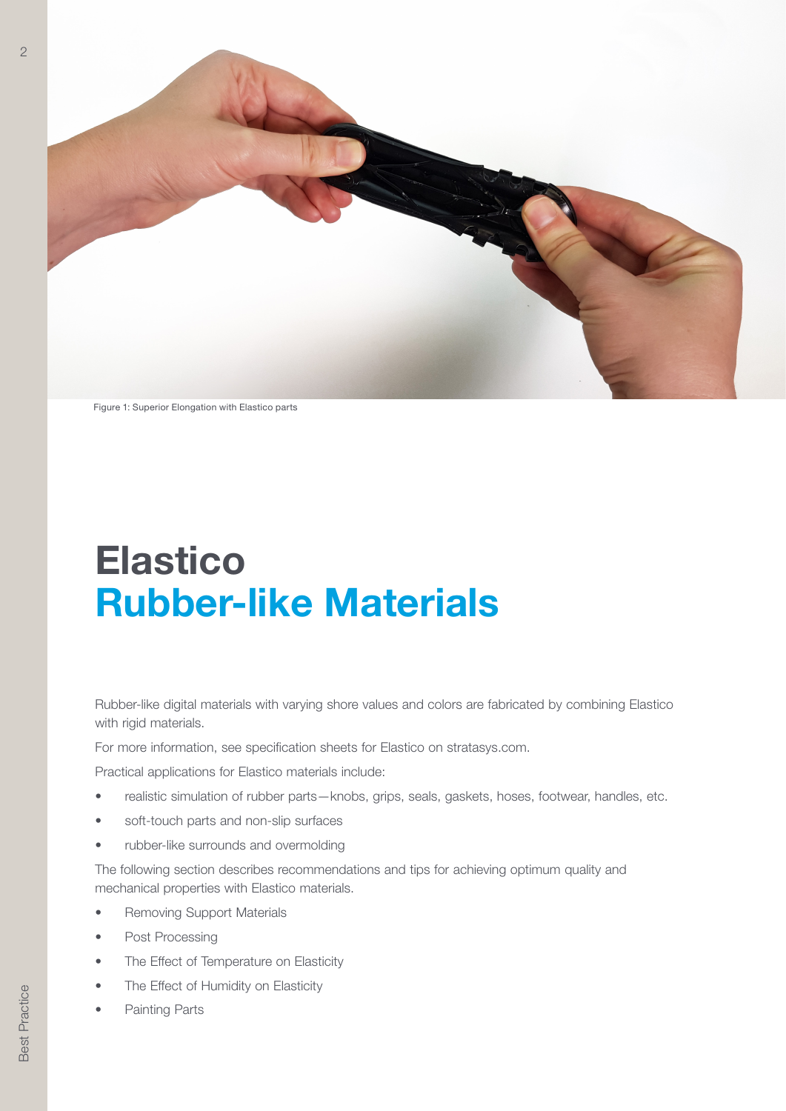

Figure 1: Superior Elongation with Elastico parts

## Elastico Rubber-like Materials

Rubber-like digital materials with varying shore values and colors are fabricated by combining Elastico with rigid materials.

For more information, see specification sheets for Elastico on stratasys.com.

Practical applications for Elastico materials include:

- realistic simulation of rubber parts—knobs, grips, seals, gaskets, hoses, footwear, handles, etc.
- soft-touch parts and non-slip surfaces
- rubber-like surrounds and overmolding

The following section describes recommendations and tips for achieving optimum quality and mechanical properties with Elastico materials.

- Removing Support Materials
- Post Processing
- The Effect of Temperature on Elasticity
- The Effect of Humidity on Elasticity
- Painting Parts